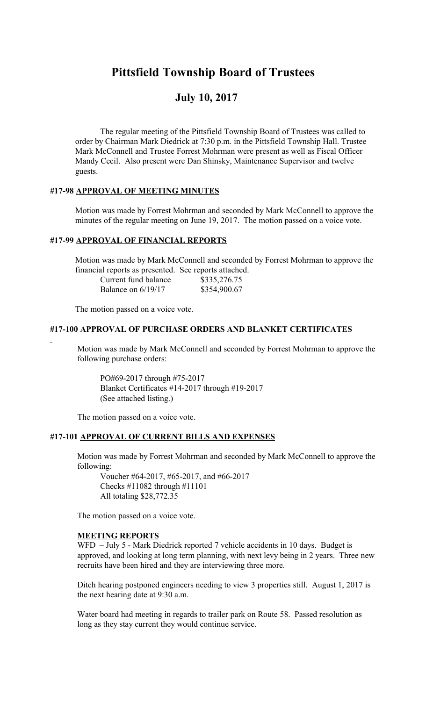## **Pittsfield Township Board of Trustees**

# **July 10, 2017**

The regular meeting of the Pittsfield Township Board of Trustees was called to order by Chairman Mark Diedrick at 7:30 p.m. in the Pittsfield Township Hall. Trustee Mark McConnell and Trustee Forrest Mohrman were present as well as Fiscal Officer Mandy Cecil. Also present were Dan Shinsky, Maintenance Supervisor and twelve guests.

#### **#17-98 APPROVAL OF MEETING MINUTES**

Motion was made by Forrest Mohrman and seconded by Mark McConnell to approve the minutes of the regular meeting on June 19, 2017. The motion passed on a voice vote.

#### **#17-99 APPROVAL OF FINANCIAL REPORTS**

Motion was made by Mark McConnell and seconded by Forrest Mohrman to approve the financial reports as presented. See reports attached.

| Current fund balance | \$335,276.75 |
|----------------------|--------------|
| Balance on $6/19/17$ | \$354,900.67 |

The motion passed on a voice vote.

#### **#17-100 APPROVAL OF PURCHASE ORDERS AND BLANKET CERTIFICATES**

Motion was made by Mark McConnell and seconded by Forrest Mohrman to approve the following purchase orders:

PO#69-2017 through #75-2017 Blanket Certificates #14-2017 through #19-2017 (See attached listing.)

The motion passed on a voice vote.

#### **#17-101 APPROVAL OF CURRENT BILLS AND EXPENSES**

Motion was made by Forrest Mohrman and seconded by Mark McConnell to approve the following:

Voucher #64-2017, #65-2017, and #66-2017 Checks #11082 through #11101 All totaling \$28,772.35

The motion passed on a voice vote.

#### **MEETING REPORTS**

WFD – July 5 - Mark Diedrick reported 7 vehicle accidents in 10 days. Budget is approved, and looking at long term planning, with next levy being in 2 years. Three new recruits have been hired and they are interviewing three more.

Ditch hearing postponed engineers needing to view 3 properties still. August 1, 2017 is the next hearing date at 9:30 a.m.

Water board had meeting in regards to trailer park on Route 58. Passed resolution as long as they stay current they would continue service.